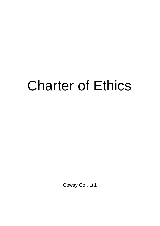# Charter of Ethics

Coway Co., Ltd.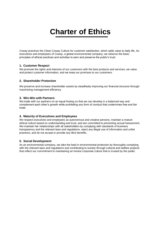# **Charter of Ethics**

Coway practices the Clean Coway Culture for customer satisfaction, which adds value to daily life. As executives and employees of Coway, a global environmental company, we observe the basic principles of ethical practices and activities to earn and preserve the public's trust.

#### **1. Customer Respect**

We promote the rights and interests of our customers with the best products and services; we value and protect customer information, and we keep our promises to our customers.

#### **2. Shareholder Protection**

We preserve and increase shareholder assets by steadfastly improving our financial structure through maximizing management efficiency.

#### **3. Win-Win with Partners**

We trade with our partners on an equal footing so that we can develop in a balanced way and complement each other's growth while prohibiting any form of conduct that undermines free and fair trade.

## **4. Maturity of Executives and Employees**

We respect executives and employees as autonomous and creative persons, maintain a mature ethical culture based on understanding and trust, and are committed to preventing sexual harassment. We maintain fair relationships with all stakeholders by complying with standards of business transparency and the relevant laws and regulations, reject any illegal use of information and unfair practices, and do not accept or provide any illicit benefits.

## **5. Social Development**

As an environmental company, we take the lead in environmental protection by thoroughly complying with the relevant laws and regulations and contributing to society through cultural and welfare projects that reflect our commitment to maintaining an honest corporate culture that is trusted by the public.